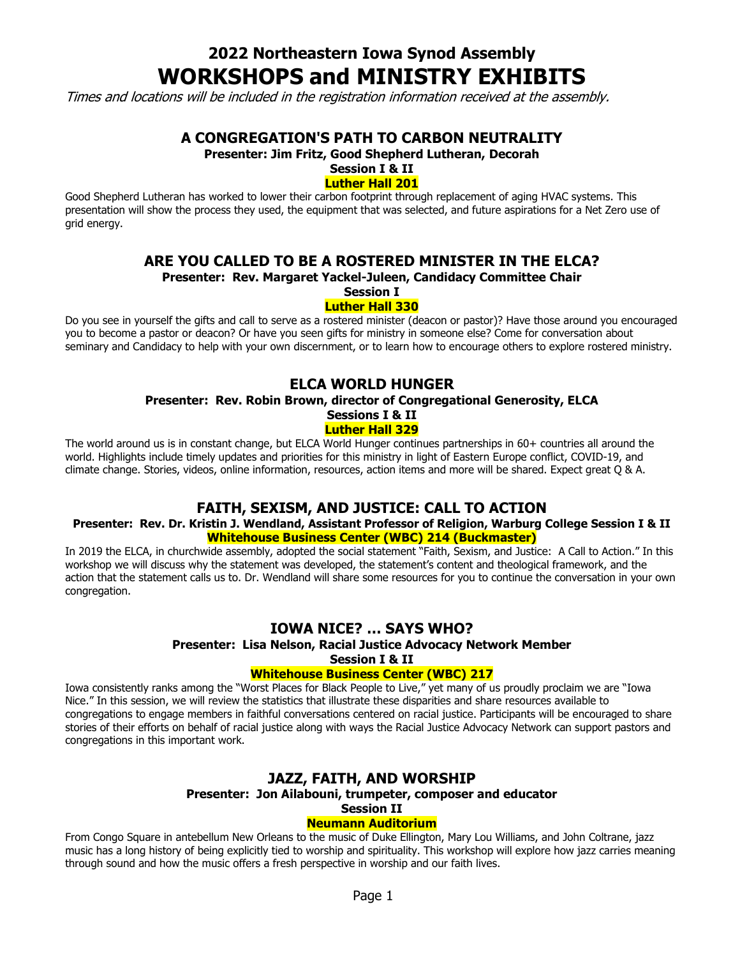# **2022 Northeastern Iowa Synod Assembly WORKSHOPS and MINISTRY EXHIBITS**

Times and locations will be included in the registration information received at the assembly.

# **A CONGREGATION'S PATH TO CARBON NEUTRALITY**

**Presenter: Jim Fritz, Good Shepherd Lutheran, Decorah**

# **Session I & II**

### **Luther Hall 201**

Good Shepherd Lutheran has worked to lower their carbon footprint through replacement of aging HVAC systems. This presentation will show the process they used, the equipment that was selected, and future aspirations for a Net Zero use of grid energy.

# **ARE YOU CALLED TO BE A ROSTERED MINISTER IN THE ELCA?**

**Presenter: Rev. Margaret Yackel-Juleen, Candidacy Committee Chair**

**Session I**

### **Luther Hall 330**

Do you see in yourself the gifts and call to serve as a rostered minister (deacon or pastor)? Have those around you encouraged you to become a pastor or deacon? Or have you seen gifts for ministry in someone else? Come for conversation about seminary and Candidacy to help with your own discernment, or to learn how to encourage others to explore rostered ministry.

# **ELCA WORLD HUNGER**

## **Presenter: Rev. Robin Brown, director of Congregational Generosity, ELCA Sessions I & II**

## **Luther Hall 329**

The world around us is in constant change, but ELCA World Hunger continues partnerships in 60+ countries all around the world. Highlights include timely updates and priorities for this ministry in light of Eastern Europe conflict, COVID-19, and climate change. Stories, videos, online information, resources, action items and more will be shared. Expect great Q & A.

# **FAITH, SEXISM, AND JUSTICE: CALL TO ACTION**

### **Presenter: Rev. Dr. Kristin J. Wendland, Assistant Professor of Religion, Warburg College Session I & II Whitehouse Business Center (WBC) 214 (Buckmaster)**

In 2019 the ELCA, in churchwide assembly, adopted the social statement "Faith, Sexism, and Justice: A Call to Action." In this workshop we will discuss why the statement was developed, the statement's content and theological framework, and the action that the statement calls us to. Dr. Wendland will share some resources for you to continue the conversation in your own congregation.

## **IOWA NICE? … SAYS WHO?**

## **Presenter: Lisa Nelson, Racial Justice Advocacy Network Member**

**Session I & II**

### **Whitehouse Business Center (WBC) 217**

Iowa consistently ranks among the "Worst Places for Black People to Live," yet many of us proudly proclaim we are "Iowa Nice." In this session, we will review the statistics that illustrate these disparities and share resources available to congregations to engage members in faithful conversations centered on racial justice. Participants will be encouraged to share stories of their efforts on behalf of racial justice along with ways the Racial Justice Advocacy Network can support pastors and congregations in this important work.

# **JAZZ, FAITH, AND WORSHIP**

# **Presenter: Jon Ailabouni, trumpeter, composer and educator**

#### **Session II Neumann Auditorium**

From Congo Square in antebellum New Orleans to the music of Duke Ellington, Mary Lou Williams, and John Coltrane, jazz music has a long history of being explicitly tied to worship and spirituality. This workshop will explore how jazz carries meaning through sound and how the music offers a fresh perspective in worship and our faith lives.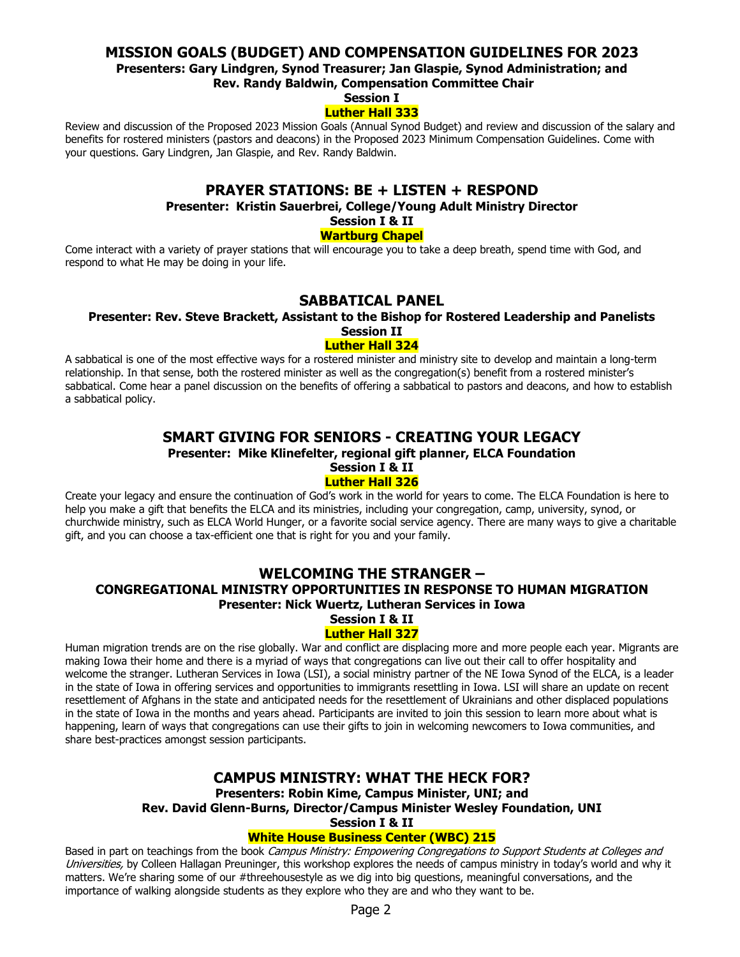## **MISSION GOALS (BUDGET) AND COMPENSATION GUIDELINES FOR 2023**

**Presenters: Gary Lindgren, Synod Treasurer; Jan Glaspie, Synod Administration; and**

**Rev. Randy Baldwin, Compensation Committee Chair**

#### **Session I Luther Hall 333**

Review and discussion of the Proposed 2023 Mission Goals (Annual Synod Budget) and review and discussion of the salary and benefits for rostered ministers (pastors and deacons) in the Proposed 2023 Minimum Compensation Guidelines. Come with your questions. Gary Lindgren, Jan Glaspie, and Rev. Randy Baldwin.

## **PRAYER STATIONS: BE + LISTEN + RESPOND**

**Presenter: Kristin Sauerbrei, College/Young Adult Ministry Director**

**Session I & II**

### **Wartburg Chapel**

Come interact with a variety of prayer stations that will encourage you to take a deep breath, spend time with God, and respond to what He may be doing in your life.

## **SABBATICAL PANEL**

#### **Presenter: Rev. Steve Brackett, Assistant to the Bishop for Rostered Leadership and Panelists Session II**

### **Luther Hall 324**

A sabbatical is one of the most effective ways for a rostered minister and ministry site to develop and maintain a long-term relationship. In that sense, both the rostered minister as well as the congregation(s) benefit from a rostered minister's sabbatical. Come hear a panel discussion on the benefits of offering a sabbatical to pastors and deacons, and how to establish a sabbatical policy.

# **SMART GIVING FOR SENIORS - CREATING YOUR LEGACY**

**Presenter: Mike Klinefelter, regional gift planner, ELCA Foundation**

**Session I & II**

### **Luther Hall 326**

Create your legacy and ensure the continuation of God's work in the world for years to come. The ELCA Foundation is here to help you make a gift that benefits the ELCA and its ministries, including your congregation, camp, university, synod, or churchwide ministry, such as ELCA World Hunger, or a favorite social service agency. There are many ways to give a charitable gift, and you can choose a tax-efficient one that is right for you and your family.

# **WELCOMING THE STRANGER – CONGREGATIONAL MINISTRY OPPORTUNITIES IN RESPONSE TO HUMAN MIGRATION Presenter: Nick Wuertz, Lutheran Services in Iowa**

#### **Session I & II Luther Hall 327**

Human migration trends are on the rise globally. War and conflict are displacing more and more people each year. Migrants are making Iowa their home and there is a myriad of ways that congregations can live out their call to offer hospitality and welcome the stranger. Lutheran Services in Iowa (LSI), a social ministry partner of the NE Iowa Synod of the ELCA, is a leader in the state of Iowa in offering services and opportunities to immigrants resettling in Iowa. LSI will share an update on recent resettlement of Afghans in the state and anticipated needs for the resettlement of Ukrainians and other displaced populations in the state of Iowa in the months and years ahead. Participants are invited to join this session to learn more about what is happening, learn of ways that congregations can use their gifts to join in welcoming newcomers to Iowa communities, and share best-practices amongst session participants.

# **CAMPUS MINISTRY: WHAT THE HECK FOR? Presenters: Robin Kime, Campus Minister, UNI; and**

**Rev. David Glenn-Burns, Director/Campus Minister Wesley Foundation, UNI**

**Session I & II**

### **White House Business Center (WBC) 215**

Based in part on teachings from the book Campus Ministry: Empowering Congregations to Support Students at Colleges and Universities, by Colleen Hallagan Preuninger, this workshop explores the needs of campus ministry in today's world and why it matters. We're sharing some of our #threehousestyle as we dig into big questions, meaningful conversations, and the importance of walking alongside students as they explore who they are and who they want to be.